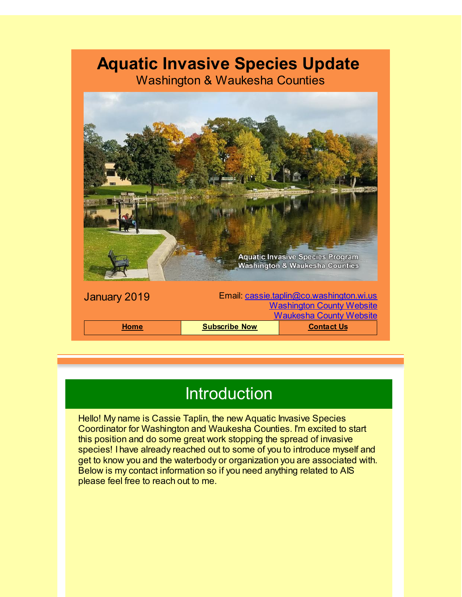## **Aquatic Invasive Species Update**

Washington & Waukesha Counties



## Introduction

Hello! My name is Cassie Taplin, the new Aquatic Invasive Species Coordinator for Washington and Waukesha Counties. I'm excited to start this position and do some great work stopping the spread of invasive species! I have already reached out to some of you to introduce myself and get to know you and the waterbody or organization you are associated with. Below is my contact information so if you need anything related to AIS please feel free to reach out to me.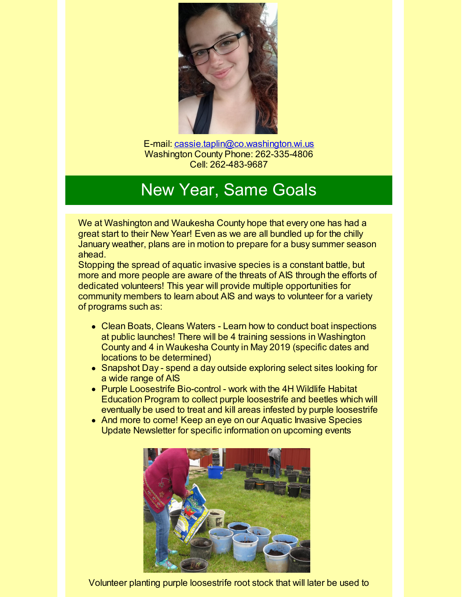

E-mail: [cassie.taplin@co.washington.wi.us](mailto:cassie.taplin@co.washington.wi.us) Washington County Phone: 262-335-4806 Cell: 262-483-9687

# New Year, Same Goals

We at Washington and Waukesha County hope that every one has had a great start to their New Year! Even as we are all bundled up for the chilly January weather, plans are in motion to prepare for a busy summer season ahead.

Stopping the spread of aquatic invasive species is a constant battle, but more and more people are aware of the threats of AIS through the efforts of dedicated volunteers! This year will provide multiple opportunities for community members to learn about AIS and ways to volunteer for a variety of programs such as:

- Clean Boats, Cleans Waters Learn how to conduct boat inspections at public launches! There will be 4 training sessions in Washington County and 4 in Waukesha County in May 2019 (specific dates and locations to be determined)
- Snapshot Day spend a day outside exploring select sites looking for a wide range of AIS
- Purple Loosestrife Bio-control work with the 4H Wildlife Habitat Education Program to collect purple loosestrife and beetles which will eventually be used to treat and kill areas infested by purple loosestrife
- And more to come! Keep an eye on our Aquatic Invasive Species Update Newsletter for specific information on upcoming events



Volunteer planting purple loosestrife root stock that will later be used to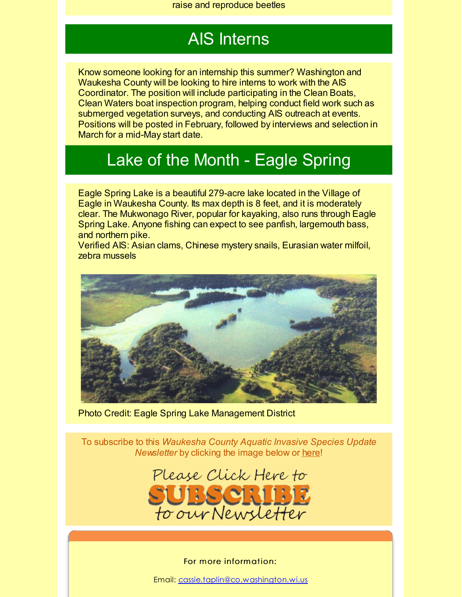### AIS Interns

Know someone looking for an internship this summer? Washington and Waukesha County will be looking to hire interns to work with the AIS Coordinator. The position will include participating in the Clean Boats, Clean Waters boat inspection program, helping conduct field work such as submerged vegetation surveys, and conducting AIS outreach at events. Positions will be posted in February, followed by interviews and selection in March for a mid-May start date.

#### Lake of the Month - Eagle Spring

Eagle Spring Lake is a beautiful 279-acre lake located in the Village of Eagle in Waukesha County. Its max depth is 8 feet, and it is moderately clear. The Mukwonago River, popular for kayaking, also runs through Eagle Spring Lake. Anyone fishing can expect to see panfish, largemouth bass, and northern pike.

Verified AIS: Asian clams, Chinese mystery snails, Eurasian water milfoil, zebra mussels



Photo Credit: Eagle Spring Lake Management District

To subscribe to this *Waukesha County Aquatic Invasive Species Update Newsletter* by clicking the image below or [here](http://visitor.r20.constantcontact.com/d.jsp?llr=kfohqmcab&p=oi&m=1102078785706&sit=mdwsaogdb&f=72c567dd-ea1f-46d9-a3b3-0487646a78a3)!



#### For more information:

Email: [cassie.taplin@co.washington.wi.us](mailto:cassie.taplin@co.washington.wi.us)